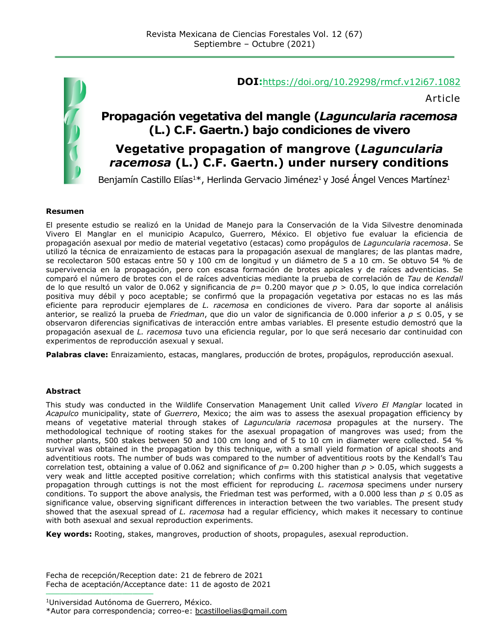

#### **DOI:**<https://doi.org/10.29298/rmcf.v12i67.1082>

Article

## **Propagación vegetativa del mangle (***Laguncularia racemosa* **(L.) C.F. Gaertn.) bajo condiciones de vivero**

## **Vegetative propagation of mangrove (***Laguncularia racemosa* **(L.) C.F. Gaertn.) under nursery conditions**

Benjamín Castillo Elías<sup>1\*</sup>, Herlinda Gervacio Jiménez<sup>1</sup> y José Ángel Vences Martínez<sup>1</sup>

#### **Resumen**

El presente estudio se realizó en la Unidad de Manejo para la Conservación de la Vida Silvestre denominada Vivero El Manglar en el municipio Acapulco, Guerrero, México. El objetivo fue evaluar la eficiencia de propagación asexual por medio de material vegetativo (estacas) como propágulos de *Laguncularia racemosa*. Se utilizó la técnica de enraizamiento de estacas para la propagación asexual de manglares; de las plantas madre, se recolectaron 500 estacas entre 50 y 100 cm de longitud y un diámetro de 5 a 10 cm. Se obtuvo 54 % de supervivencia en la propagación, pero con escasa formación de brotes apicales y de raíces adventicias. Se comparó el número de brotes con el de raíces adventicias mediante la prueba de correlación de *Tau* de *Kendall* de lo que resultó un valor de 0.062 y significancia de *p*= 0.200 mayor que *p* > 0.05, lo que indica correlación positiva muy débil y poco aceptable; se confirmó que la propagación vegetativa por estacas no es las más eficiente para reproducir ejemplares de *L. racemosa* en condiciones de vivero. Para dar soporte al análisis anterior, se realizó la prueba de *Friedman*, que dio un valor de significancia de 0.000 inferior a *p* ≤ 0.05, y se observaron diferencias significativas de interacción entre ambas variables. El presente estudio demostró que la propagación asexual de *L. racemosa* tuvo una eficiencia regular, por lo que será necesario dar continuidad con experimentos de reproducción asexual y sexual.

**Palabras clave:** Enraizamiento, estacas, manglares, producción de brotes, propágulos, reproducción asexual.

#### **Abstract**

This study was conducted in the Wildlife Conservation Management Unit called *Vivero El Manglar* located in *Acapulco* municipality, state of *Guerrero*, Mexico; the aim was to assess the asexual propagation efficiency by means of vegetative material through stakes of *Laguncularia racemosa* propagules at the nursery. The methodological technique of rooting stakes for the asexual propagation of mangroves was used; from the mother plants, 500 stakes between 50 and 100 cm long and of 5 to 10 cm in diameter were collected. 54 % survival was obtained in the propagation by this technique, with a small yield formation of apical shoots and adventitious roots. The number of buds was compared to the number of adventitious roots by the Kendall's Tau correlation test, obtaining a value of 0.062 and significance of  $p=0.200$  higher than  $p > 0.05$ , which suggests a very weak and little accepted positive correlation; which confirms with this statistical analysis that vegetative propagation through cuttings is not the most efficient for reproducing *L. racemosa* specimens under nursery conditions. To support the above analysis, the Friedman test was performed, with a 0.000 less than  $p \le 0.05$  as significance value, observing significant differences in interaction between the two variables. The present study showed that the asexual spread of *L. racemosa* had a regular efficiency, which makes it necessary to continue with both asexual and sexual reproduction experiments.

**Key words:** Rooting, stakes, mangroves, production of shoots, propagules, asexual reproduction.

Fecha de recepción/Reception date: 21 de febrero de 2021 Fecha de aceptación/Acceptance date: 11 de agosto de 2021

<sup>1</sup>Universidad Autónoma de Guerrero, México.

**\_\_\_\_\_\_\_\_\_\_\_\_\_\_\_\_\_\_\_\_\_\_\_\_\_\_\_\_\_\_\_**

<sup>\*</sup>Autor para correspondencia; correo-e: [bcastilloelias@gmail.com](mailto:bcastilloelias@gmail.com)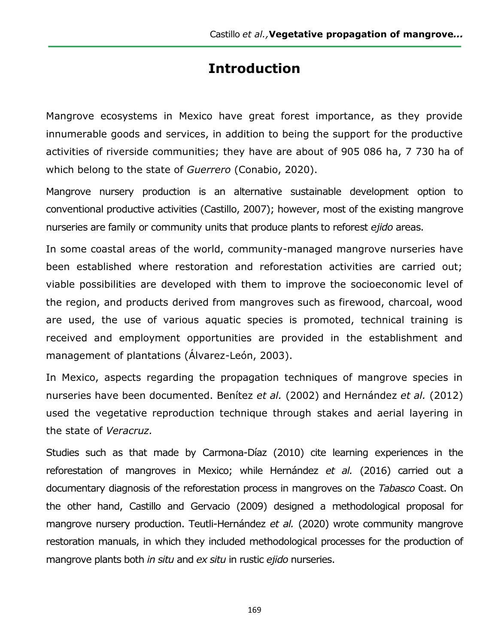# **Introduction**

Mangrove ecosystems in Mexico have great forest importance, as they provide innumerable goods and services, in addition to being the support for the productive activities of riverside communities; they have are about of 905 086 ha, 7 730 ha of which belong to the state of *Guerrero* (Conabio, 2020).

Mangrove nursery production is an alternative sustainable development option to conventional productive activities (Castillo, 2007); however, most of the existing mangrove nurseries are family or community units that produce plants to reforest *ejido* areas.

In some coastal areas of the world, community-managed mangrove nurseries have been established where restoration and reforestation activities are carried out; viable possibilities are developed with them to improve the socioeconomic level of the region, and products derived from mangroves such as firewood, charcoal, wood are used, the use of various aquatic species is promoted, technical training is received and employment opportunities are provided in the establishment and management of plantations (Álvarez-León, 2003).

In Mexico, aspects regarding the propagation techniques of mangrove species in nurseries have been documented. Benítez *et al.* (2002) and Hernández *et al.* (2012) used the vegetative reproduction technique through stakes and aerial layering in the state of *Veracruz.*

Studies such as that made by Carmona-Díaz (2010) cite learning experiences in the reforestation of mangroves in Mexico; while Hernández *et al.* (2016) carried out a documentary diagnosis of the reforestation process in mangroves on the *Tabasco* Coast. On the other hand, Castillo and Gervacio (2009) designed a methodological proposal for mangrove nursery production. Teutli-Hernández *et al.* (2020) wrote community mangrove restoration manuals, in which they included methodological processes for the production of mangrove plants both *in situ* and *ex situ* in rustic *ejido* nurseries.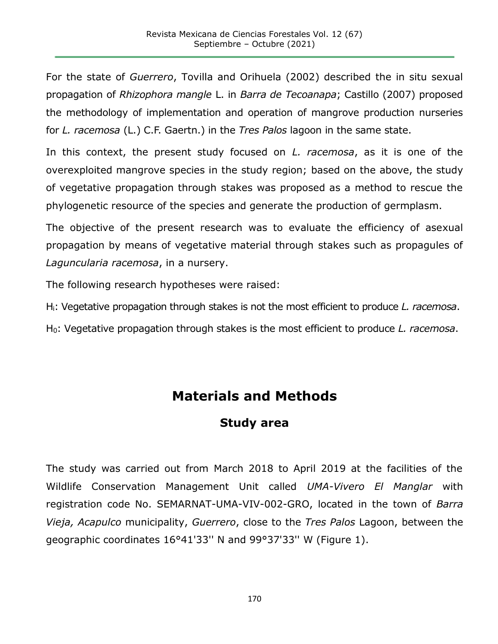For the state of *Guerrero*, Tovilla and Orihuela (2002) described the in situ sexual propagation of *Rhizophora mangle* L. in *Barra de Tecoanapa*; Castillo (2007) proposed the methodology of implementation and operation of mangrove production nurseries for *L. racemosa* (L.) C.F. Gaertn.) in the *Tres Palos* lagoon in the same state.

In this context, the present study focused on *L. racemosa*, as it is one of the overexploited mangrove species in the study region; based on the above, the study of vegetative propagation through stakes was proposed as a method to rescue the phylogenetic resource of the species and generate the production of germplasm.

The objective of the present research was to evaluate the efficiency of asexual propagation by means of vegetative material through stakes such as propagules of *Laguncularia racemosa*, in a nursery.

The following research hypotheses were raised:

Hi: Vegetative propagation through stakes is not the most efficient to produce *L. racemosa*.

H0: Vegetative propagation through stakes is the most efficient to produce *L. racemosa*.

# **Materials and Methods**

### **Study area**

The study was carried out from March 2018 to April 2019 at the facilities of the Wildlife Conservation Management Unit called *UMA-Vivero El Manglar* with registration code No. SEMARNAT-UMA-VIV-002-GRO, located in the town of *Barra Vieja, Acapulco* municipality, *Guerrero*, close to the *Tres Palos* Lagoon, between the geographic coordinates 16°41'33'' N and 99°37'33'' W (Figure 1).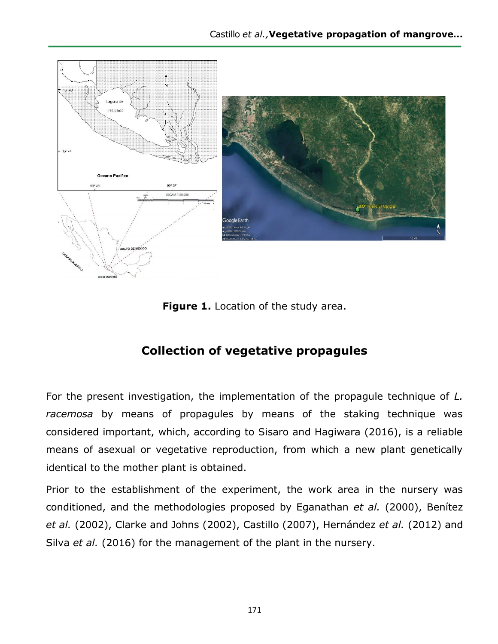

**Figure 1.** Location of the study area.

## **Collection of vegetative propagules**

For the present investigation, the implementation of the propagule technique of *L. racemosa* by means of propagules by means of the staking technique was considered important, which, according to Sisaro and Hagiwara (2016), is a reliable means of asexual or vegetative reproduction, from which a new plant genetically identical to the mother plant is obtained.

Prior to the establishment of the experiment, the work area in the nursery was conditioned, and the methodologies proposed by Eganathan *et al.* (2000), Benítez *et al.* (2002), Clarke and Johns (2002), Castillo (2007), Hernández *et al.* (2012) and Silva *et al.* (2016) for the management of the plant in the nursery.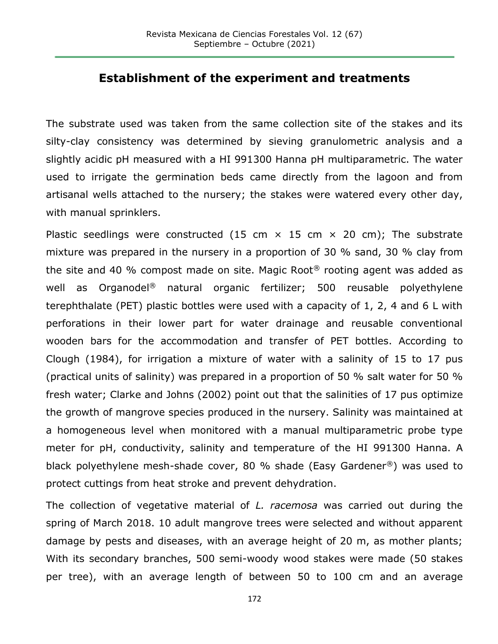#### **Establishment of the experiment and treatments**

The substrate used was taken from the same collection site of the stakes and its silty-clay consistency was determined by sieving granulometric analysis and a slightly acidic pH measured with a HI 991300 Hanna pH multiparametric. The water used to irrigate the germination beds came directly from the lagoon and from artisanal wells attached to the nursery; the stakes were watered every other day, with manual sprinklers.

Plastic seedlings were constructed (15 cm  $\times$  15 cm  $\times$  20 cm); The substrate mixture was prepared in the nursery in a proportion of 30 % sand, 30 % clay from the site and 40 % compost made on site. Magic Root® rooting agent was added as well as Organodel® natural organic fertilizer; 500 reusable polyethylene terephthalate (PET) plastic bottles were used with a capacity of 1, 2, 4 and 6 L with perforations in their lower part for water drainage and reusable conventional wooden bars for the accommodation and transfer of PET bottles. According to Clough (1984), for irrigation a mixture of water with a salinity of 15 to 17 pus (practical units of salinity) was prepared in a proportion of 50 % salt water for 50 % fresh water; Clarke and Johns (2002) point out that the salinities of 17 pus optimize the growth of mangrove species produced in the nursery. Salinity was maintained at a homogeneous level when monitored with a manual multiparametric probe type meter for pH, conductivity, salinity and temperature of the HI 991300 Hanna. A black polyethylene mesh-shade cover, 80 % shade (Easy Gardener®) was used to protect cuttings from heat stroke and prevent dehydration.

The collection of vegetative material of *L. racemosa* was carried out during the spring of March 2018. 10 adult mangrove trees were selected and without apparent damage by pests and diseases, with an average height of 20 m, as mother plants; With its secondary branches, 500 semi-woody wood stakes were made (50 stakes per tree), with an average length of between 50 to 100 cm and an average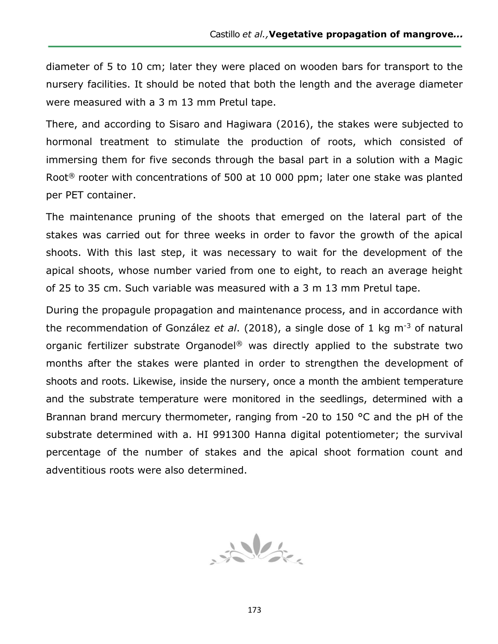diameter of 5 to 10 cm; later they were placed on wooden bars for transport to the nursery facilities. It should be noted that both the length and the average diameter were measured with a 3 m 13 mm Pretul tape.

There, and according to Sisaro and Hagiwara (2016), the stakes were subjected to hormonal treatment to stimulate the production of roots, which consisted of immersing them for five seconds through the basal part in a solution with a Magic Root<sup>®</sup> rooter with concentrations of 500 at 10 000 ppm; later one stake was planted per PET container.

The maintenance pruning of the shoots that emerged on the lateral part of the stakes was carried out for three weeks in order to favor the growth of the apical shoots. With this last step, it was necessary to wait for the development of the apical shoots, whose number varied from one to eight, to reach an average height of 25 to 35 cm. Such variable was measured with a 3 m 13 mm Pretul tape.

During the propagule propagation and maintenance process, and in accordance with the recommendation of González *et al*. (2018), a single dose of 1 kg m-3 of natural organic fertilizer substrate Organodel® was directly applied to the substrate two months after the stakes were planted in order to strengthen the development of shoots and roots. Likewise, inside the nursery, once a month the ambient temperature and the substrate temperature were monitored in the seedlings, determined with a Brannan brand mercury thermometer, ranging from -20 to 150 °C and the pH of the substrate determined with a. HI 991300 Hanna digital potentiometer; the survival percentage of the number of stakes and the apical shoot formation count and adventitious roots were also determined.

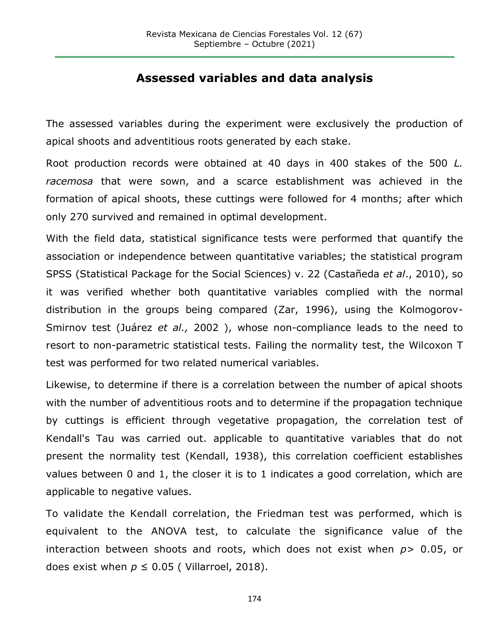### **Assessed variables and data analysis**

The assessed variables during the experiment were exclusively the production of apical shoots and adventitious roots generated by each stake.

Root production records were obtained at 40 days in 400 stakes of the 500 *L. racemosa* that were sown, and a scarce establishment was achieved in the formation of apical shoots, these cuttings were followed for 4 months; after which only 270 survived and remained in optimal development.

With the field data, statistical significance tests were performed that quantify the association or independence between quantitative variables; the statistical program SPSS (Statistical Package for the Social Sciences) v. 22 (Castañeda *et al*., 2010), so it was verified whether both quantitative variables complied with the normal distribution in the groups being compared (Zar, 1996), using the Kolmogorov-Smirnov test (Juárez *et al.,* 2002 ), whose non-compliance leads to the need to resort to non-parametric statistical tests. Failing the normality test, the Wilcoxon T test was performed for two related numerical variables.

Likewise, to determine if there is a correlation between the number of apical shoots with the number of adventitious roots and to determine if the propagation technique by cuttings is efficient through vegetative propagation, the correlation test of Kendall's Tau was carried out. applicable to quantitative variables that do not present the normality test (Kendall, 1938), this correlation coefficient establishes values between 0 and 1, the closer it is to 1 indicates a good correlation, which are applicable to negative values.

To validate the Kendall correlation, the Friedman test was performed, which is equivalent to the ANOVA test, to calculate the significance value of the interaction between shoots and roots, which does not exist when *p*> 0.05, or does exist when  $p \leq 0.05$  ( Villarroel, 2018).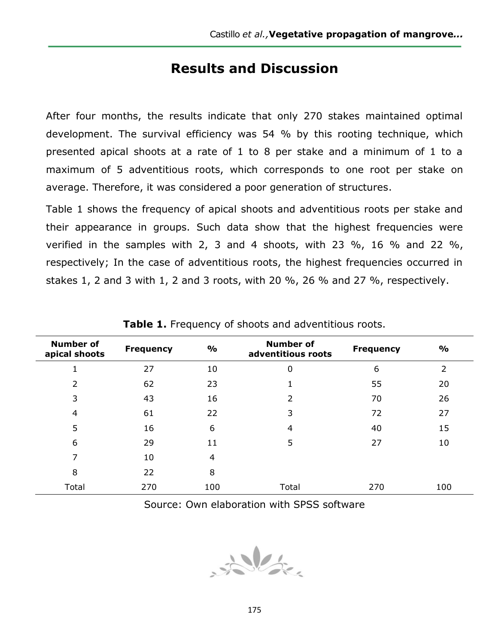# **Results and Discussion**

After four months, the results indicate that only 270 stakes maintained optimal development. The survival efficiency was 54 % by this rooting technique, which presented apical shoots at a rate of 1 to 8 per stake and a minimum of 1 to a maximum of 5 adventitious roots, which corresponds to one root per stake on average. Therefore, it was considered a poor generation of structures.

Table 1 shows the frequency of apical shoots and adventitious roots per stake and their appearance in groups. Such data show that the highest frequencies were verified in the samples with 2, 3 and 4 shoots, with 23 %, 16 % and 22 %, respectively; In the case of adventitious roots, the highest frequencies occurred in stakes 1, 2 and 3 with 1, 2 and 3 roots, with 20 %, 26 % and 27 %, respectively.

| <b>Number of</b><br>apical shoots | <b>Frequency</b> | $\frac{1}{2}$ | <b>Number of</b><br>adventitious roots | <b>Frequency</b> | $\frac{1}{2}$  |
|-----------------------------------|------------------|---------------|----------------------------------------|------------------|----------------|
|                                   | 27               | 10            | 0                                      | 6                | $\overline{2}$ |
| $\overline{2}$                    | 62               | 23            |                                        | 55               | 20             |
| 3                                 | 43               | 16            | 2                                      | 70               | 26             |
| 4                                 | 61               | 22            | 3                                      | 72               | 27             |
| 5                                 | 16               | 6             | 4                                      | 40               | 15             |
| 6                                 | 29               | 11            | 5                                      | 27               | 10             |
| 7                                 | 10               | 4             |                                        |                  |                |
| 8                                 | 22               | 8             |                                        |                  |                |
| Total                             | 270              | 100           | Total                                  | 270              | 100            |

**Table 1.** Frequency of shoots and adventitious roots.

Source: Own elaboration with SPSS software

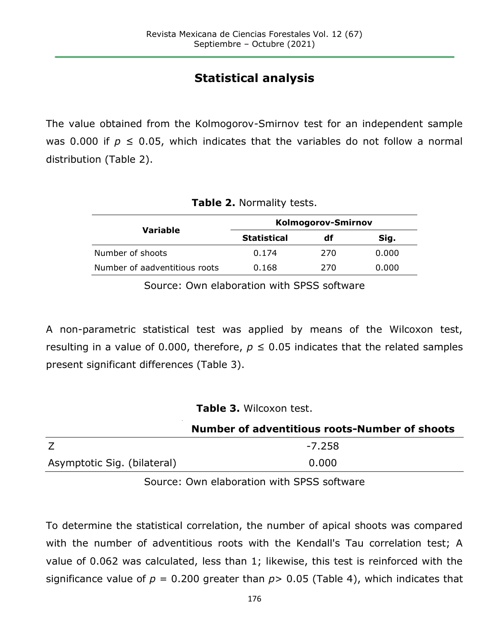# **Statistical analysis**

The value obtained from the Kolmogorov-Smirnov test for an independent sample was 0.000 if  $p \le 0.05$ , which indicates that the variables do not follow a normal distribution (Table 2).

| Table 2. Normality tests. |  |  |  |  |
|---------------------------|--|--|--|--|
|---------------------------|--|--|--|--|

|                               | Kolmogorov-Smirnov |     |       |  |
|-------------------------------|--------------------|-----|-------|--|
| Variable                      | <b>Statistical</b> | df  | Sig.  |  |
| Number of shoots              | 0.174              | 270 | 0.000 |  |
| Number of aadventitious roots | 0.168              | 270 | 0.000 |  |
|                               |                    |     |       |  |

Source: Own elaboration with SPSS software

A non-parametric statistical test was applied by means of the Wilcoxon test, resulting in a value of 0.000, therefore,  $p \le 0.05$  indicates that the related samples present significant differences (Table 3).

**Table 3.** Wilcoxon test.

|                             | Number of adventitious roots-Number of shoots |
|-----------------------------|-----------------------------------------------|
|                             | -7.258                                        |
| Asymptotic Sig. (bilateral) | 0.000                                         |

Source: Own elaboration with SPSS software

To determine the statistical correlation, the number of apical shoots was compared with the number of adventitious roots with the Kendall's Tau correlation test; A value of 0.062 was calculated, less than 1; likewise, this test is reinforced with the significance value of  $p = 0.200$  greater than  $p > 0.05$  (Table 4), which indicates that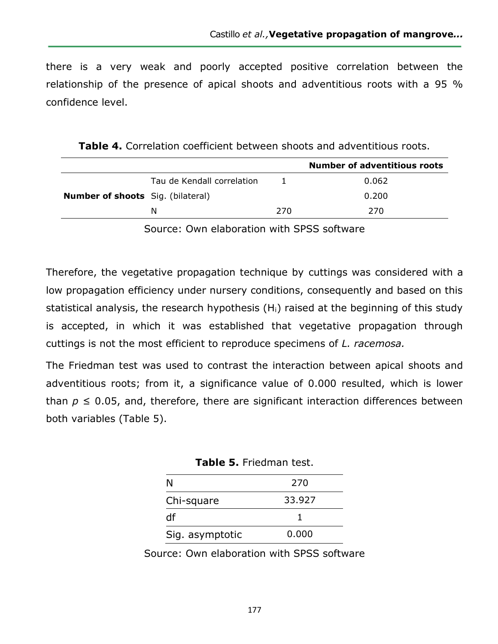there is a very weak and poorly accepted positive correlation between the relationship of the presence of apical shoots and adventitious roots with a 95 % confidence level.

| <b>Table 4.</b> Correlation coefficient between shoots and adventitious roots. |  |
|--------------------------------------------------------------------------------|--|
|--------------------------------------------------------------------------------|--|

|                                          |                            |     | <b>Number of adventitious roots</b> |
|------------------------------------------|----------------------------|-----|-------------------------------------|
|                                          | Tau de Kendall correlation |     | 0.062                               |
| <b>Number of shoots</b> Sig. (bilateral) |                            |     | 0.200                               |
|                                          | N                          | 270 | 270                                 |
|                                          |                            |     |                                     |

Source: Own elaboration with SPSS software

Therefore, the vegetative propagation technique by cuttings was considered with a low propagation efficiency under nursery conditions, consequently and based on this statistical analysis, the research hypothesis  $(H<sub>i</sub>)$  raised at the beginning of this study is accepted, in which it was established that vegetative propagation through cuttings is not the most efficient to reproduce specimens of *L. racemosa.*

The Friedman test was used to contrast the interaction between apical shoots and adventitious roots; from it, a significance value of 0.000 resulted, which is lower than  $p \leq 0.05$ , and, therefore, there are significant interaction differences between both variables (Table 5).

**Table 5.** Friedman test.

| N               | 270    |
|-----------------|--------|
| Chi-square      | 33.927 |
| df              |        |
| Sig. asymptotic | 0.000  |

Source: Own elaboration with SPSS software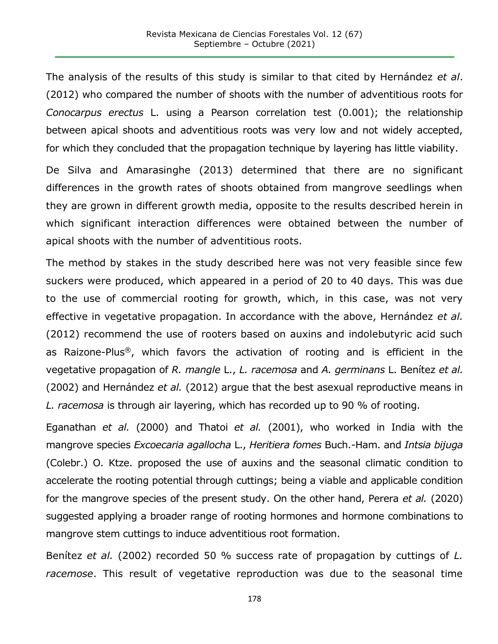The analysis of the results of this study is similar to that cited by Hernández *et al*. (2012) who compared the number of shoots with the number of adventitious roots for *Conocarpus erectus* L. using a Pearson correlation test (0.001); the relationship between apical shoots and adventitious roots was very low and not widely accepted, for which they concluded that the propagation technique by layering has little viability.

De Silva and Amarasinghe (2013) determined that there are no significant differences in the growth rates of shoots obtained from mangrove seedlings when they are grown in different growth media, opposite to the results described herein in which significant interaction differences were obtained between the number of apical shoots with the number of adventitious roots.

The method by stakes in the study described here was not very feasible since few suckers were produced, which appeared in a period of 20 to 40 days. This was due to the use of commercial rooting for growth, which, in this case, was not very effective in vegetative propagation. In accordance with the above, Hernández *et al.* (2012) recommend the use of rooters based on auxins and indolebutyric acid such as Raizone-Plus®, which favors the activation of rooting and is efficient in the vegetative propagation of *R. mangle* L., *L. racemosa* and *A. germinans* L. Benítez *et al.* (2002) and Hernández *et al.* (2012) argue that the best asexual reproductive means in *L. racemosa* is through air layering, which has recorded up to 90 % of rooting.

Eganathan *et al.* (2000) and Thatoi *et al.* (2001), who worked in India with the mangrove species *Excoecaria agallocha* L., *Heritiera fomes* Buch.-Ham. and *Intsia bijuga* (Colebr.) O. Ktze. proposed the use of auxins and the seasonal climatic condition to accelerate the rooting potential through cuttings; being a viable and applicable condition for the mangrove species of the present study. On the other hand, Perera *et al.* (2020) suggested applying a broader range of rooting hormones and hormone combinations to mangrove stem cuttings to induce adventitious root formation.

Benítez *et al.* (2002) recorded 50 % success rate of propagation by cuttings of *L. racemose*. This result of vegetative reproduction was due to the seasonal time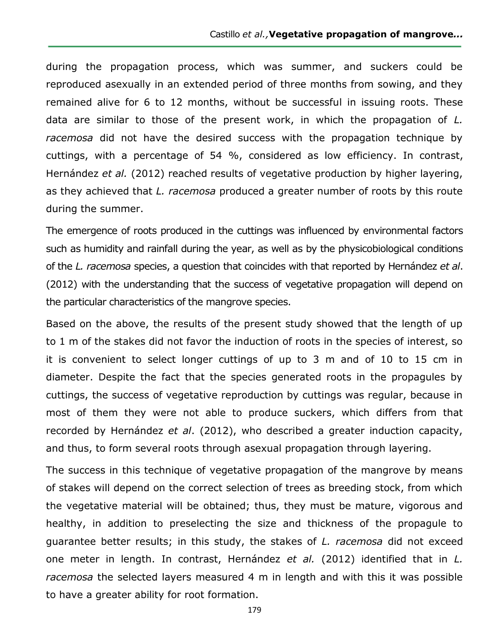during the propagation process, which was summer, and suckers could be reproduced asexually in an extended period of three months from sowing, and they remained alive for 6 to 12 months, without be successful in issuing roots. These data are similar to those of the present work, in which the propagation of *L. racemosa* did not have the desired success with the propagation technique by cuttings, with a percentage of 54 %, considered as low efficiency. In contrast, Hernández *et al.* (2012) reached results of vegetative production by higher layering, as they achieved that *L. racemosa* produced a greater number of roots by this route during the summer.

The emergence of roots produced in the cuttings was influenced by environmental factors such as humidity and rainfall during the year, as well as by the physicobiological conditions of the *L. racemosa* species, a question that coincides with that reported by Hernández *et al*. (2012) with the understanding that the success of vegetative propagation will depend on the particular characteristics of the mangrove species.

Based on the above, the results of the present study showed that the length of up to 1 m of the stakes did not favor the induction of roots in the species of interest, so it is convenient to select longer cuttings of up to 3 m and of 10 to 15 cm in diameter. Despite the fact that the species generated roots in the propagules by cuttings, the success of vegetative reproduction by cuttings was regular, because in most of them they were not able to produce suckers, which differs from that recorded by Hernández *et al*. (2012), who described a greater induction capacity, and thus, to form several roots through asexual propagation through layering.

The success in this technique of vegetative propagation of the mangrove by means of stakes will depend on the correct selection of trees as breeding stock, from which the vegetative material will be obtained; thus, they must be mature, vigorous and healthy, in addition to preselecting the size and thickness of the propagule to guarantee better results; in this study, the stakes of *L. racemosa* did not exceed one meter in length. In contrast, Hernández *et al.* (2012) identified that in *L. racemosa* the selected layers measured 4 m in length and with this it was possible to have a greater ability for root formation.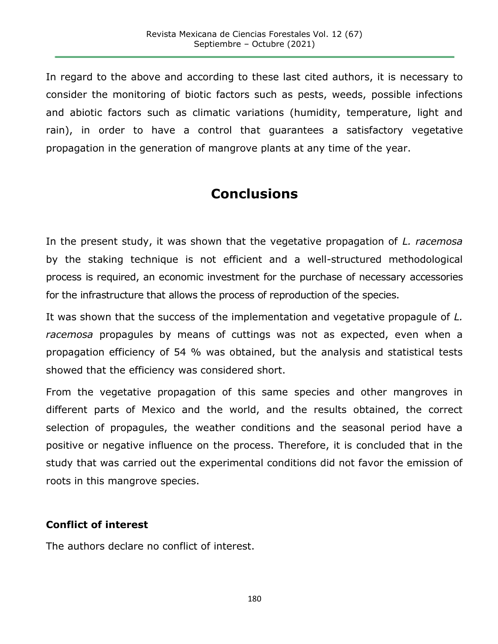In regard to the above and according to these last cited authors, it is necessary to consider the monitoring of biotic factors such as pests, weeds, possible infections and abiotic factors such as climatic variations (humidity, temperature, light and rain), in order to have a control that guarantees a satisfactory vegetative propagation in the generation of mangrove plants at any time of the year.

# **Conclusions**

In the present study, it was shown that the vegetative propagation of *L. racemosa* by the staking technique is not efficient and a well-structured methodological process is required, an economic investment for the purchase of necessary accessories for the infrastructure that allows the process of reproduction of the species.

It was shown that the success of the implementation and vegetative propagule of *L. racemosa* propagules by means of cuttings was not as expected, even when a propagation efficiency of 54 % was obtained, but the analysis and statistical tests showed that the efficiency was considered short.

From the vegetative propagation of this same species and other mangroves in different parts of Mexico and the world, and the results obtained, the correct selection of propagules, the weather conditions and the seasonal period have a positive or negative influence on the process. Therefore, it is concluded that in the study that was carried out the experimental conditions did not favor the emission of roots in this mangrove species.

#### **Conflict of interest**

The authors declare no conflict of interest.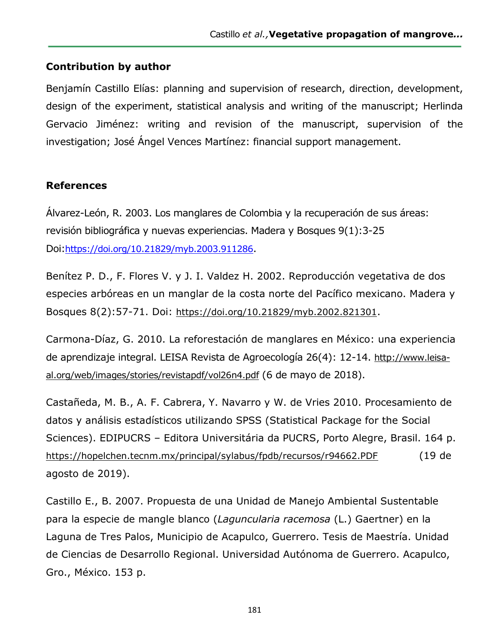#### **Contribution by author**

Benjamín Castillo Elías: planning and supervision of research, direction, development, design of the experiment, statistical analysis and writing of the manuscript; Herlinda Gervacio Jiménez: writing and revision of the manuscript, supervision of the investigation; José Ángel Vences Martínez: financial support management.

#### **References**

Álvarez-León, R. 2003. Los manglares de Colombia y la recuperación de sus áreas: revisión bibliográfica y nuevas experiencias. Madera y Bosques 9(1):3-25 Doi:<https://doi.org/10.21829/myb.2003.911286>.

Benítez P. D., F. Flores V. y J. I. Valdez H. 2002. Reproducción vegetativa de dos especies arbóreas en un manglar de la costa norte del Pacífico mexicano. Madera y Bosques 8(2):57-71. Doi: <https://doi.org/10.21829/myb.2002.821301>.

Carmona-Díaz, G. 2010. La reforestación de manglares en México: una experiencia de aprendizaje integral. LEISA Revista de Agroecología 26(4): 12-14. [http://www.leisa](http://www.leisa-al.org/web/images/stories/revistapdf/vol26n4.pdf)[al.org/web/images/stories/revistapdf/vol26n4.pdf](http://www.leisa-al.org/web/images/stories/revistapdf/vol26n4.pdf) (6 de mayo de 2018).

Castañeda, M. B., A. F. Cabrera, Y. Navarro y W. de Vries 2010. Procesamiento de datos y análisis estadísticos utilizando SPSS (Statistical Package for the Social Sciences). EDIPUCRS – Editora Universitária da PUCRS, Porto Alegre, Brasil. 164 p. <https://hopelchen.tecnm.mx/principal/sylabus/fpdb/recursos/r94662.PDF> (19 de agosto de 2019).

Castillo E., B. 2007. Propuesta de una Unidad de Manejo Ambiental Sustentable para la especie de mangle blanco (*Laguncularia racemosa* (L.) Gaertner) en la Laguna de Tres Palos, Municipio de Acapulco, Guerrero. Tesis de Maestría. Unidad de Ciencias de Desarrollo Regional. Universidad Autónoma de Guerrero. Acapulco, Gro., México. 153 p.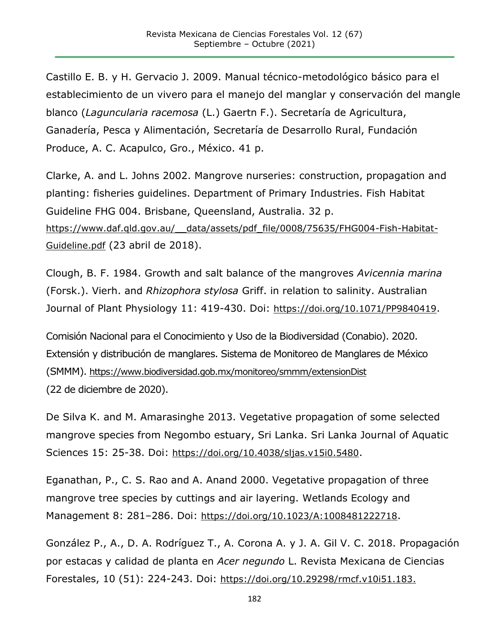Castillo E. B. y H. Gervacio J. 2009. Manual técnico-metodológico básico para el establecimiento de un vivero para el manejo del manglar y conservación del mangle blanco (*Laguncularia racemosa* (L.) Gaertn F.). Secretaría de Agricultura, Ganadería, Pesca y Alimentación, Secretaría de Desarrollo Rural, Fundación Produce, A. C. Acapulco, Gro., México. 41 p.

Clarke, A. and L. Johns 2002. Mangrove nurseries: construction, propagation and planting: fisheries guidelines. Department of Primary Industries. Fish Habitat Guideline FHG 004. Brisbane, Queensland, Australia. 32 p. https://www.daf.qld.gov.au/ data/assets/pdf file/0008/75635/FHG004-Fish-Habitat-[Guideline.pdf](https://www.daf.qld.gov.au/__data/assets/pdf_file/0008/75635/FHG004-Fish-Habitat-Guideline.pdf) (23 abril de 2018).

Clough, B. F. 1984. Growth and salt balance of the mangroves *Avicennia marina* (Forsk.). Vierh. and *Rhizophora stylosa* Griff. in relation to salinity. Australian Journal of Plant Physiology 11: 419-430. Doi: <https://doi.org/10.1071/PP9840419>.

Comisión Nacional para el Conocimiento y Uso de la Biodiversidad (Conabio). 2020. Extensión y distribución de manglares. Sistema de Monitoreo de Manglares de México (SMMM). <https://www.biodiversidad.gob.mx/monitoreo/smmm/extensionDist> (22 de diciembre de 2020).

De Silva K. and M. Amarasinghe 2013. Vegetative propagation of some selected mangrove species from Negombo estuary, Sri Lanka. Sri Lanka Journal of Aquatic Sciences 15: 25-38. Doi: <https://doi.org/10.4038/sljas.v15i0.5480>.

Eganathan, P., C. S. Rao and A. Anand 2000. Vegetative propagation of three mangrove tree species by cuttings and air layering. Wetlands Ecology and Management 8: 281–286. Doi: <https://doi.org/10.1023/A:1008481222718>.

González P., A., D. A. Rodríguez T., A. Corona A. y J. A. Gil V. C. 2018. Propagación por estacas y calidad de planta en *Acer negundo* L. Revista Mexicana de Ciencias Forestales, 10 (51): 224-243. Doi: [https://doi.org/10.29298/rmcf.v10i51.183.](https://doi.org/10.29298/rmcf.v10i51.183)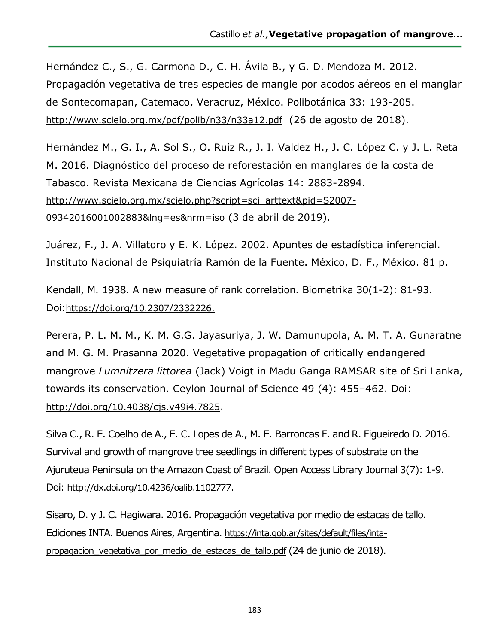Hernández C., S., G. Carmona D., C. H. Ávila B., y G. D. Mendoza M. 2012. Propagación vegetativa de tres especies de mangle por acodos aéreos en el manglar de Sontecomapan, Catemaco, Veracruz, México. Polibotánica 33: 193-205. <http://www.scielo.org.mx/pdf/polib/n33/n33a12.pdf> (26 de agosto de 2018).

Hernández M., G. I., A. Sol S., O. Ruíz R., J. I. Valdez H., J. C. López C. y J. L. Reta M. 2016. Diagnóstico del proceso de reforestación en manglares de la costa de Tabasco. Revista Mexicana de Ciencias Agrícolas 14: 2883-2894. [http://www.scielo.org.mx/scielo.php?script=sci\\_arttext&pid=S2007-](http://www.scielo.org.mx/scielo.php?script=sci_arttext&pid=S2007-09342016001002883&lng=es&nrm=iso) [09342016001002883&lng=es&nrm=iso](http://www.scielo.org.mx/scielo.php?script=sci_arttext&pid=S2007-09342016001002883&lng=es&nrm=iso) (3 de abril de 2019).

Juárez, F., J. A. Villatoro y E. K. López. 2002. Apuntes de estadística inferencial. Instituto Nacional de Psiquiatría Ramón de la Fuente. México, D. F., México. 81 p.

Kendall, M. 1938. A new measure of rank correlation. Biometrika 30(1-2): 81-93. Doi:[https://doi.org/10.2307/2332226.](https://doi.org/10.2307/2332226)

Perera, P. L. M. M., K. M. G.G. Jayasuriya, J. W. Damunupola, A. M. T. A. Gunaratne and M. G. M. Prasanna 2020. Vegetative propagation of critically endangered mangrove *Lumnitzera littorea* (Jack) Voigt in Madu Ganga RAMSAR site of Sri Lanka, towards its conservation. Ceylon Journal of Science 49 (4): 455–462. Doi: <http://doi.org/10.4038/cjs.v49i4.7825>.

Silva C., R. E. Coelho de A., E. C. Lopes de A., M. E. Barroncas F. and R. Figueiredo D. 2016. Survival and growth of mangrove tree seedlings in different types of substrate on the Ajuruteua Peninsula on the Amazon Coast of Brazil. Open Access Library Journal 3(7): 1-9. Doi: <http://dx.doi.org/10.4236/oalib.1102777>.

Sisaro, D. y J. C. Hagiwara. 2016. Propagación vegetativa por medio de estacas de tallo. Ediciones INTA. Buenos Aires, Argentina. [https://inta.gob.ar/sites/default/files/inta](https://inta.gob.ar/sites/default/files/inta-propagacion_vegetativa_por_medio_de_estacas_de_tallo.pdf)propagacion vegetativa por medio de estacas de tallo.pdf (24 de junio de 2018).